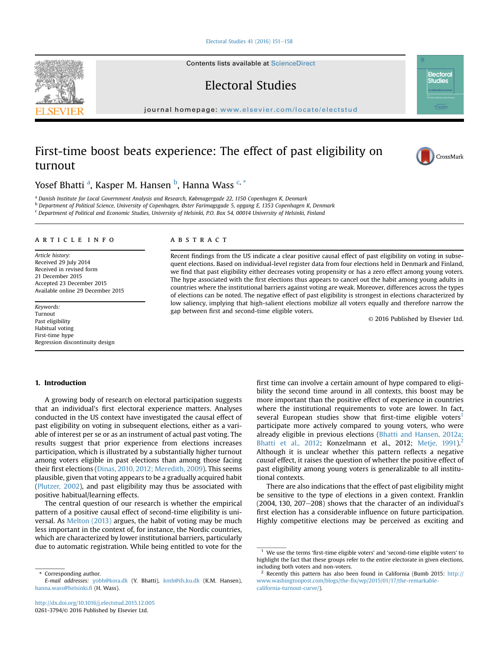#### Electoral Studies  $41$  (2016)  $151-158$  $151-158$

Contents lists available at [ScienceDirect](www.sciencedirect.com/science/journal/02613794)

Electoral Studies

journal homepage: <www.elsevier.com/locate/electstud>

# First-time boost beats experience: The effect of past eligibility on turnout



<sup>a</sup> Danish Institute for Local Government Analysis and Research, Købmagergade 22, 1150 Copenhagen K, Denmark

<sup>b</sup> Department of Political Science, University of Copenhagen, Øster Farimagsgade 5, opgang E, 1353 Copenhagen K, Denmark

<sup>c</sup> Department of Political and Economic Studies, University of Helsinki, P.O. Box 54, 00014 University of Helsinki, Finland

#### article info

Article history: Received 29 July 2014 Received in revised form 21 December 2015 Accepted 23 December 2015 Available online 29 December 2015

Keywords: Turnout Past eligibility Habitual voting First-time hype Regression discontinuity design

#### **ABSTRACT**

Recent findings from the US indicate a clear positive causal effect of past eligibility on voting in subsequent elections. Based on individual-level register data from four elections held in Denmark and Finland, we find that past eligibility either decreases voting propensity or has a zero effect among young voters. The hype associated with the first elections thus appears to cancel out the habit among young adults in countries where the institutional barriers against voting are weak. Moreover, differences across the types of elections can be noted. The negative effect of past eligibility is strongest in elections characterized by low saliency, implying that high-salient elections mobilize all voters equally and therefore narrow the gap between first and second-time eligible voters.

© 2016 Published by Elsevier Ltd.

## 1. Introduction

A growing body of research on electoral participation suggests that an individual's first electoral experience matters. Analyses conducted in the US context have investigated the causal effect of past eligibility on voting in subsequent elections, either as a variable of interest per se or as an instrument of actual past voting. The results suggest that prior experience from elections increases participation, which is illustrated by a substantially higher turnout among voters eligible in past elections than among those facing their first elections ([Dinas, 2010, 2012; Meredith, 2009\)](#page-7-0). This seems plausible, given that voting appears to be a gradually acquired habit ([Plutzer, 2002\)](#page-7-0), and past eligibility may thus be associated with positive habitual/learning effects.

The central question of our research is whether the empirical pattern of a positive causal effect of second-time eligibility is universal. As [Melton \(2013\)](#page-7-0) argues, the habit of voting may be much less important in the context of, for instance, the Nordic countries, which are characterized by lower institutional barriers, particularly due to automatic registration. While being entitled to vote for the

\* Corresponding author.

first time can involve a certain amount of hype compared to eligibility the second time around in all contexts, this boost may be more important than the positive effect of experience in countries where the institutional requirements to vote are lower. In fact, several European studies show that first-time eligible voters<sup>1</sup> participate more actively compared to young voters, who were already eligible in previous elections [\(Bhatti and Hansen, 2012a;](#page-7-0) [Bhatti et al., 2012](#page-7-0); Konzelmann et al., 2012; [Metje, 1991](#page-7-0)).<sup>2</sup> Although it is unclear whether this pattern reflects a negative causal effect, it raises the question of whether the positive effect of past eligibility among young voters is generalizable to all institutional contexts.

There are also indications that the effect of past eligibility might be sensitive to the type of elections in a given context. Franklin  $(2004, 130, 207-208)$  shows that the character of an individual's first election has a considerable influence on future participation. Highly competitive elections may be perceived as exciting and

<span id="page-0-0"></span>



**Electoral Studies** 

E-mail addresses: [yobh@kora.dk](mailto:yobh@kora.dk) (Y. Bhatti), [kmh@ifs.ku.dk](mailto:kmh@ifs.ku.dk) (K.M. Hansen), [hanna.wass@helsinki.](mailto:hanna.wass@helsinki.fi)fi (H. Wass).

<sup>&</sup>lt;sup>1</sup> We use the terms 'first-time eligible voters' and 'second-time eligible voters' to highlight the fact that these groups refer to the entire electorate in given elections, including both voters and non-voters.

<sup>2</sup> Recently this pattern has also been found in California (Bumb 2015: [http://](http://www.washingtonpost.com/blogs/the-fix/wp/2015/01/17/the-remarkable-california-turnout-curve/) [www.washingtonpost.com/blogs/the-](http://www.washingtonpost.com/blogs/the-fix/wp/2015/01/17/the-remarkable-california-turnout-curve/)fix/wp/2015/01/17/the-remarkable[california-turnout-curve/](http://www.washingtonpost.com/blogs/the-fix/wp/2015/01/17/the-remarkable-california-turnout-curve/)).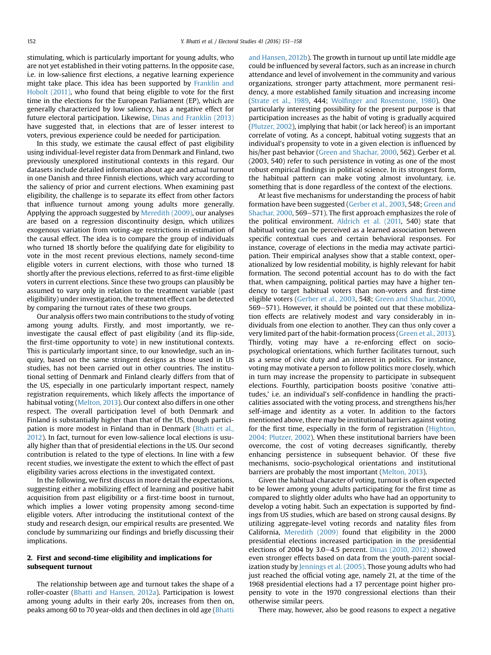stimulating, which is particularly important for young adults, who are not yet established in their voting patterns. In the opposite case, i.e. in low-salience first elections, a negative learning experience might take place. This idea has been supported by [Franklin and](#page-7-0) [Hobolt \(2011\)](#page-7-0), who found that being eligible to vote for the first time in the elections for the European Parliament (EP), which are generally characterized by low saliency, has a negative effect for future electoral participation. Likewise, [Dinas and Franklin \(2013\)](#page-7-0) have suggested that, in elections that are of lesser interest to voters, previous experience could be needed for participation.

In this study, we estimate the causal effect of past eligibility using individual-level register data from Denmark and Finland, two previously unexplored institutional contexts in this regard. Our datasets include detailed information about age and actual turnout in one Danish and three Finnish elections, which vary according to the saliency of prior and current elections. When examining past eligibility, the challenge is to separate its effect from other factors that influence turnout among young adults more generally. Applying the approach suggested by [Meredith \(2009\)](#page-7-0), our analyses are based on a regression discontinuity design, which utilizes exogenous variation from voting-age restrictions in estimation of the causal effect. The idea is to compare the group of individuals who turned 18 shortly before the qualifying date for eligibility to vote in the most recent previous elections, namely second-time eligible voters in current elections, with those who turned 18 shortly after the previous elections, referred to as first-time eligible voters in current elections. Since these two groups can plausibly be assumed to vary only in relation to the treatment variable (past eligibility) under investigation, the treatment effect can be detected by comparing the turnout rates of these two groups.

Our analysis offers two main contributions to the study of voting among young adults. Firstly, and most importantly, we reinvestigate the causal effect of past eligibility (and its flip-side, the first-time opportunity to vote) in new institutional contexts. This is particularly important since, to our knowledge, such an inquiry, based on the same stringent designs as those used in US studies, has not been carried out in other countries. The institutional setting of Denmark and Finland clearly differs from that of the US, especially in one particularly important respect, namely registration requirements, which likely affects the importance of habitual voting [\(Melton, 2013](#page-7-0)). Our context also differs in one other respect. The overall participation level of both Denmark and Finland is substantially higher than that of the US, though participation is more modest in Finland than in Denmark [\(Bhatti et al.,](#page-7-0) [2012](#page-7-0)). In fact, turnout for even low-salience local elections is usually higher than that of presidential elections in the US. Our second contribution is related to the type of elections. In line with a few recent studies, we investigate the extent to which the effect of past eligibility varies across elections in the investigated context.

In the following, we first discuss in more detail the expectations, suggesting either a mobilizing effect of learning and positive habit acquisition from past eligibility or a first-time boost in turnout, which implies a lower voting propensity among second-time eligible voters. After introducing the institutional context of the study and research design, our empirical results are presented. We conclude by summarizing our findings and briefly discussing their implications.

## 2. First and second-time eligibility and implications for subsequent turnout

The relationship between age and turnout takes the shape of a roller-coaster ([Bhatti and Hansen, 2012a\)](#page-7-0). Participation is lowest among young adults in their early 20s, increases from then on, peaks among 60 to 70 year-olds and then declines in old age [\(Bhatti](#page-7-0) [and Hansen, 2012b\)](#page-7-0). The growth in turnout up until late middle age could be influenced by several factors, such as an increase in church attendance and level of involvement in the community and various organizations, stronger party attachment, more permanent residency, a more established family situation and increasing income ([Strate et al., 1989,](#page-7-0) 444; Wolfi[nger and Rosenstone, 1980\)](#page-7-0). One particularly interesting possibility for the present purpose is that participation increases as the habit of voting is gradually acquired ([Plutzer, 2002](#page-7-0)), implying that habit (or lack hereof) is an important correlate of voting. As a concept, habitual voting suggests that an individual's propensity to vote in a given election is influenced by his/her past behavior ([Green and Shachar, 2000](#page-7-0), 562). Gerber et al. (2003, 540) refer to such persistence in voting as one of the most robust empirical findings in political science. In its strongest form, the habitual pattern can make voting almost involuntary, i.e. something that is done regardless of the context of the elections.

At least five mechanisms for understanding the process of habit formation have been suggested [\(Gerber et al., 2003,](#page-7-0) 548; [Green and](#page-7-0) [Shachar, 2000,](#page-7-0) 569–571). The first approach emphasizes the role of the political environment. [Aldrich et al. \(2011,](#page-7-0) 540) state that habitual voting can be perceived as a learned association between specific contextual cues and certain behavioral responses. For instance, coverage of elections in the media may activate participation. Their empirical analyses show that a stable context, operationalized by low residential mobility, is highly relevant for habit formation. The second potential account has to do with the fact that, when campaigning, political parties may have a higher tendency to target habitual voters than non-voters and first-time eligible voters ([Gerber et al., 2003](#page-7-0), 548; [Green and Shachar, 2000,](#page-7-0) 569–571). However, it should be pointed out that these mobilization effects are relatively modest and vary considerably in individuals from one election to another. They can thus only cover a very limited part of the habit-formation process [\(Green et al., 2013\)](#page-7-0). Thirdly, voting may have a re-enforcing effect on sociopsychological orientations, which further facilitates turnout, such as a sense of civic duty and an interest in politics. For instance, voting may motivate a person to follow politics more closely, which in turn may increase the propensity to participate in subsequent elections. Fourthly, participation boosts positive 'conative attitudes,' i.e. an individual's self-confidence in handling the practicalities associated with the voting process, and strengthens his/her self-image and identity as a voter. In addition to the factors mentioned above, there may be institutional barriers against voting for the first time, especially in the form of registration [\(Highton,](#page-7-0) [2004; Plutzer, 2002\)](#page-7-0). When these institutional barriers have been overcome, the cost of voting decreases significantly, thereby enhancing persistence in subsequent behavior. Of these five mechanisms, socio-psychological orientations and institutional barriers are probably the most important ([Melton, 2013](#page-7-0)).

Given the habitual character of voting, turnout is often expected to be lower among young adults participating for the first time as compared to slightly older adults who have had an opportunity to develop a voting habit. Such an expectation is supported by findings from US studies, which are based on strong causal designs. By utilizing aggregate-level voting records and natality files from California, [Meredith \(2009\)](#page-7-0) found that eligibility in the 2000 presidential elections increased participation in the presidential elections of 2004 by 3.0 $-4.5$  percent. [Dinas \(2010, 2012\)](#page-7-0) showed even stronger effects based on data from the youth-parent socialization study by [Jennings et al. \(2005\)](#page-7-0). Those young adults who had just reached the official voting age, namely 21, at the time of the 1968 presidential elections had a 17 percentage point higher propensity to vote in the 1970 congressional elections than their otherwise similar peers.

There may, however, also be good reasons to expect a negative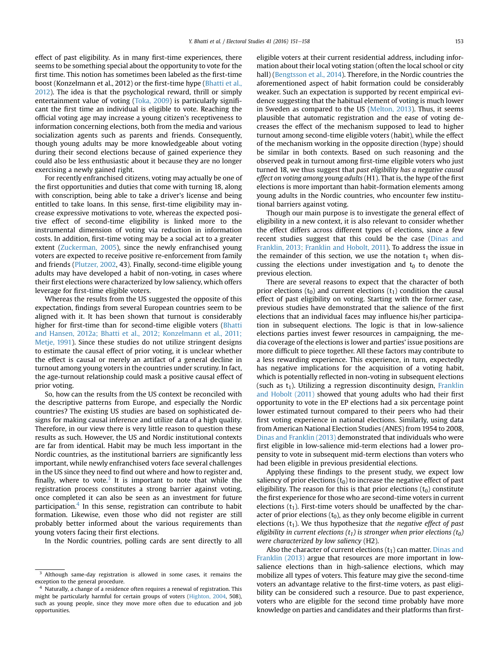<span id="page-2-0"></span>effect of past eligibility. As in many first-time experiences, there seems to be something special about the opportunity to vote for the first time. This notion has sometimes been labeled as the first-time boost (Konzelmann et al., 2012) or the first-time hype [\(Bhatti et al.,](#page-7-0) [2012\)](#page-7-0). The idea is that the psychological reward, thrill or simply entertainment value of voting ([Toka, 2009\)](#page-7-0) is particularly significant the first time an individual is eligible to vote. Reaching the official voting age may increase a young citizen's receptiveness to information concerning elections, both from the media and various socialization agents such as parents and friends. Consequently, though young adults may be more knowledgeable about voting during their second elections because of gained experience they could also be less enthusiastic about it because they are no longer exercising a newly gained right.

For recently enfranchised citizens, voting may actually be one of the first opportunities and duties that come with turning 18, along with conscription, being able to take a driver's license and being entitled to take loans. In this sense, first-time eligibility may increase expressive motivations to vote, whereas the expected positive effect of second-time eligibility is linked more to the instrumental dimension of voting via reduction in information costs. In addition, first-time voting may be a social act to a greater extent ([Zuckerman, 2005](#page-7-0)), since the newly enfranchised young voters are expected to receive positive re-enforcement from family and friends ([Plutzer, 2002,](#page-7-0) 43). Finally, second-time eligible young adults may have developed a habit of non-voting, in cases where their first elections were characterized by low saliency, which offers leverage for first-time eligible voters.

Whereas the results from the US suggested the opposite of this expectation, findings from several European countries seem to be aligned with it. It has been shown that turnout is considerably higher for first-time than for second-time eligible voters [\(Bhatti](#page-7-0) [and Hansen, 2012a; Bhatti et al., 2012; Konzelmann et al., 2011;](#page-7-0) [Metje, 1991](#page-7-0)). Since these studies do not utilize stringent designs to estimate the causal effect of prior voting, it is unclear whether the effect is causal or merely an artifact of a general decline in turnout among young voters in the countries under scrutiny. In fact, the age-turnout relationship could mask a positive causal effect of prior voting.

So, how can the results from the US context be reconciled with the descriptive patterns from Europe, and especially the Nordic countries? The existing US studies are based on sophisticated designs for making causal inference and utilize data of a high quality. Therefore, in our view there is very little reason to question these results as such. However, the US and Nordic institutional contexts are far from identical. Habit may be much less important in the Nordic countries, as the institutional barriers are significantly less important, while newly enfranchised voters face several challenges in the US since they need to find out where and how to register and, finally, where to vote.<sup>3</sup> It is important to note that while the registration process constitutes a strong barrier against voting, once completed it can also be seen as an investment for future participation.4 In this sense, registration can contribute to habit formation. Likewise, even those who did not register are still probably better informed about the various requirements than young voters facing their first elections.

In the Nordic countries, polling cards are sent directly to all

eligible voters at their current residential address, including information about their local voting station (often the local school or city hall) ([Bengtsson et al., 2014\)](#page-7-0). Therefore, in the Nordic countries the aforementioned aspect of habit formation could be considerably weaker. Such an expectation is supported by recent empirical evidence suggesting that the habitual element of voting is much lower in Sweden as compared to the US [\(Melton, 2013](#page-7-0)). Thus, it seems plausible that automatic registration and the ease of voting decreases the effect of the mechanism supposed to lead to higher turnout among second-time eligible voters (habit), while the effect of the mechanism working in the opposite direction (hype) should be similar in both contexts. Based on such reasoning and the observed peak in turnout among first-time eligible voters who just turned 18, we thus suggest that past eligibility has a negative causal effect on voting among young adults (H1). That is, the hype of the first elections is more important than habit-formation elements among young adults in the Nordic countries, who encounter few institutional barriers against voting.

Though our main purpose is to investigate the general effect of eligibility in a new context, it is also relevant to consider whether the effect differs across different types of elections, since a few recent studies suggest that this could be the case ([Dinas and](#page-7-0) [Franklin, 2013; Franklin and Hobolt, 2011\)](#page-7-0). To address the issue in the remainder of this section, we use the notation  $t_1$  when discussing the elections under investigation and  $t_0$  to denote the previous election.

There are several reasons to expect that the character of both prior elections  $(t_0)$  and current elections  $(t_1)$  condition the causal effect of past eligibility on voting. Starting with the former case, previous studies have demonstrated that the salience of the first elections that an individual faces may influence his/her participation in subsequent elections. The logic is that in low-salience elections parties invest fewer resources in campaigning, the media coverage of the elections is lower and parties' issue positions are more difficult to piece together. All these factors may contribute to a less rewarding experience. This experience, in turn, expectedly has negative implications for the acquisition of a voting habit, which is potentially reflected in non-voting in subsequent elections (such as  $t_1$ ). Utilizing a regression discontinuity design, [Franklin](#page-7-0) [and Hobolt \(2011\)](#page-7-0) showed that young adults who had their first opportunity to vote in the EP elections had a six percentage point lower estimated turnout compared to their peers who had their first voting experience in national elections. Similarly, using data from American National Election Studies (ANES) from 1954 to 2008, [Dinas and Franklin \(2013\)](#page-7-0) demonstrated that individuals who were first eligible in low-salience mid-term elections had a lower propensity to vote in subsequent mid-term elections than voters who had been eligible in previous presidential elections.

Applying these findings to the present study, we expect low saliency of prior elections  $(t_0)$  to increase the negative effect of past eligibility. The reason for this is that prior elections  $(t_0)$  constitute the first experience for those who are second-time voters in current elections  $(t_1)$ . First-time voters should be unaffected by the character of prior elections  $(t_0)$ , as they only become eligible in current elections  $(t_1)$ . We thus hypothesize that the negative effect of past eligibility in current elections ( $t_1$ ) is stronger when prior elections ( $t_0$ ) were characterized by low saliency (H2).

Also the character of current elections  $(t_1)$  can matter. [Dinas and](#page-7-0) [Franklin \(2013\)](#page-7-0) argue that resources are more important in lowsalience elections than in high-salience elections, which may mobilize all types of voters. This feature may give the second-time voters an advantage relative to the first-time voters, as past eligibility can be considered such a resource. Due to past experience, voters who are eligible for the second time probably have more knowledge on parties and candidates and their platforms than first-

 $3$  Although same-day registration is allowed in some cases, it remains the exception to the general procedure.

Naturally, a change of a residence often requires a renewal of registration. This might be particularly harmful for certain groups of voters ([Highton, 2004,](#page-7-0) 508), such as young people, since they move more often due to education and job opportunities.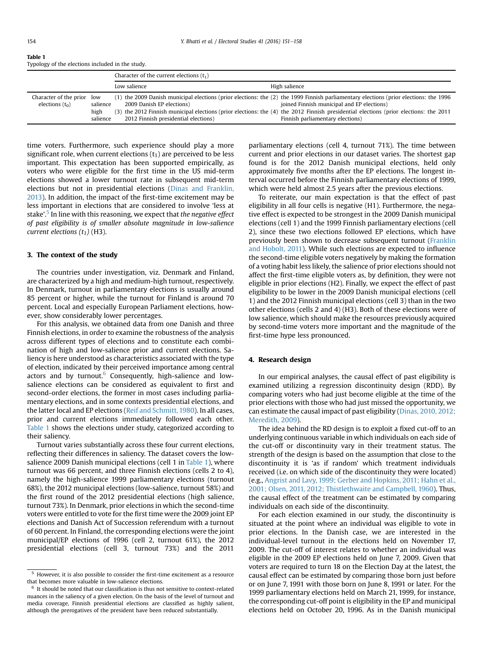<span id="page-3-0"></span>

| таріе т                                          |  |  |
|--------------------------------------------------|--|--|
| Typology of the elections included in the study. |  |  |

|                                                                                 |                               | Character of the current elections $(t_1)$                        |                                                                                                                                                                                                                                                                                                                                                                  |  |  |  |  |  |  |
|---------------------------------------------------------------------------------|-------------------------------|-------------------------------------------------------------------|------------------------------------------------------------------------------------------------------------------------------------------------------------------------------------------------------------------------------------------------------------------------------------------------------------------------------------------------------------------|--|--|--|--|--|--|
|                                                                                 | Low salience<br>High salience |                                                                   |                                                                                                                                                                                                                                                                                                                                                                  |  |  |  |  |  |  |
| Character of the prior low<br>elections $(t_0)$<br>salience<br>high<br>salience |                               | 2009 Danish EP elections)<br>2012 Finnish presidential elections) | (1) the 2009 Danish municipal elections (prior elections: the (2) the 1999 Finnish parliamentary elections (prior elections: the 1996<br>joined Finnish municipal and EP elections)<br>(3) the 2012 Finnish municipal elections (prior elections: the (4) the 2012 Finnish presidential elections (prior elections: the 2011<br>Finnish parliamentary elections) |  |  |  |  |  |  |

time voters. Furthermore, such experience should play a more significant role, when current elections  $(t_1)$  are perceived to be less important. This expectation has been supported empirically, as voters who were eligible for the first time in the US mid-term elections showed a lower turnout rate in subsequent mid-term elections but not in presidential elections ([Dinas and Franklin,](#page-7-0) [2013](#page-7-0)). In addition, the impact of the first-time excitement may be less important in elections that are considered to involve 'less at stake'.<sup>5</sup> In line with this reasoning, we expect that *the negative effect* of past eligibility is of smaller absolute magnitude in low-salience current elections  $(t_1)$  (H3).

## 3. The context of the study

The countries under investigation, viz. Denmark and Finland, are characterized by a high and medium-high turnout, respectively. In Denmark, turnout in parliamentary elections is usually around 85 percent or higher, while the turnout for Finland is around 70 percent. Local and especially European Parliament elections, however, show considerably lower percentages.

For this analysis, we obtained data from one Danish and three Finnish elections, in order to examine the robustness of the analysis across different types of elections and to constitute each combination of high and low-salience prior and current elections. Saliency is here understood as characteristics associated with the type of election, indicated by their perceived importance among central actors and by turnout. $6$  Consequently, high-salience and lowsalience elections can be considered as equivalent to first and second-order elections, the former in most cases including parliamentary elections, and in some contexts presidential elections, and the latter local and EP elections [\(Reif and Schmitt, 1980\)](#page-7-0). In all cases, prior and current elections immediately followed each other. Table 1 shows the elections under study, categorized according to their saliency.

Turnout varies substantially across these four current elections, reflecting their differences in saliency. The dataset covers the lowsalience 2009 Danish municipal elections (cell 1 in Table 1), where turnout was 66 percent, and three Finnish elections (cells 2 to 4), namely the high-salience 1999 parliamentary elections (turnout 68%), the 2012 municipal elections (low-salience, turnout 58%) and the first round of the 2012 presidential elections (high salience, turnout 73%). In Denmark, prior elections in which the second-time voters were entitled to vote for the first time were the 2009 joint EP elections and Danish Act of Succession referendum with a turnout of 60 percent. In Finland, the corresponding elections were the joint municipal/EP elections of 1996 (cell 2, turnout 61%), the 2012 presidential elections (cell 3, turnout 73%) and the 2011

parliamentary elections (cell 4, turnout 71%). The time between current and prior elections in our dataset varies. The shortest gap found is for the 2012 Danish municipal elections, held only approximately five months after the EP elections. The longest interval occurred before the Finnish parliamentary elections of 1999, which were held almost 2.5 years after the previous elections.

To reiterate, our main expectation is that the effect of past eligibility in all four cells is negative (H1). Furthermore, the negative effect is expected to be strongest in the 2009 Danish municipal elections (cell 1) and the 1999 Finnish parliamentary elections (cell 2), since these two elections followed EP elections, which have previously been shown to decrease subsequent turnout ([Franklin](#page-7-0) [and Hobolt, 2011\)](#page-7-0). While such elections are expected to influence the second-time eligible voters negatively by making the formation of a voting habit less likely, the salience of prior elections should not affect the first-time eligible voters as, by definition, they were not eligible in prior elections (H2). Finally, we expect the effect of past eligibility to be lower in the 2009 Danish municipal elections (cell 1) and the 2012 Finnish municipal elections (cell 3) than in the two other elections (cells 2 and 4) (H3). Both of these elections were of low salience, which should make the resources previously acquired by second-time voters more important and the magnitude of the first-time hype less pronounced.

#### 4. Research design

In our empirical analyses, the causal effect of past eligibility is examined utilizing a regression discontinuity design (RDD). By comparing voters who had just become eligible at the time of the prior elections with those who had just missed the opportunity, we can estimate the causal impact of past eligibility ([Dinas, 2010, 2012;](#page-7-0) [Meredith, 2009](#page-7-0)).

The idea behind the RD design is to exploit a fixed cut-off to an underlying continuous variable in which individuals on each side of the cut-off or discontinuity vary in their treatment status. The strength of the design is based on the assumption that close to the discontinuity it is 'as if random' which treatment individuals received (i.e. on which side of the discontinuity they were located) (e.g., [Angrist and Lavy, 1999; Gerber and Hopkins, 2011; Hahn et al.,](#page-7-0) [2001; Olsen, 2011, 2012; Thistlethwaite and Campbell, 1960\)](#page-7-0). Thus, the causal effect of the treatment can be estimated by comparing individuals on each side of the discontinuity.

For each election examined in our study, the discontinuity is situated at the point where an individual was eligible to vote in prior elections. In the Danish case, we are interested in the individual-level turnout in the elections held on November 17, 2009. The cut-off of interest relates to whether an individual was eligible in the 2009 EP elections held on June 7, 2009. Given that voters are required to turn 18 on the Election Day at the latest, the causal effect can be estimated by comparing those born just before or on June 7, 1991 with those born on June 8, 1991 or later. For the 1999 parliamentary elections held on March 21, 1999, for instance, the corresponding cut-off point is eligibility in the EP and municipal elections held on October 20, 1996. As in the Danish municipal

 $5$  However, it is also possible to consider the first-time excitement as a resource that becomes more valuable in low-salience elections.

It should be noted that our classification is thus not sensitive to context-related nuances in the saliency of a given election. On the basis of the level of turnout and media coverage, Finnish presidential elections are classified as highly salient, although the prerogatives of the president have been reduced substantially.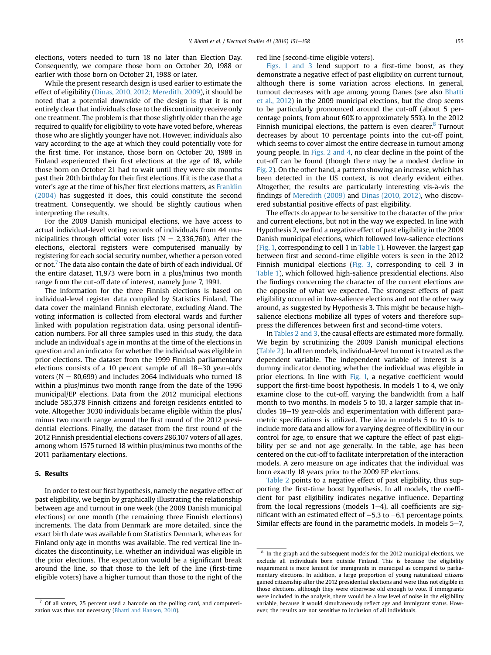elections, voters needed to turn 18 no later than Election Day. Consequently, we compare those born on October 20, 1988 or earlier with those born on October 21, 1988 or later.

While the present research design is used earlier to estimate the effect of eligibility ([Dinas, 2010, 2012; Meredith, 2009\)](#page-7-0), it should be noted that a potential downside of the design is that it is not entirely clear that individuals close to the discontinuity receive only one treatment. The problem is that those slightly older than the age required to qualify for eligibility to vote have voted before, whereas those who are slightly younger have not. However, individuals also vary according to the age at which they could potentially vote for the first time. For instance, those born on October 20, 1988 in Finland experienced their first elections at the age of 18, while those born on October 21 had to wait until they were six months past their 20th birthday for their first elections. If it is the case that a voter's age at the time of his/her first elections matters, as [Franklin](#page-7-0) [\(2004\)](#page-7-0) has suggested it does, this could constitute the second treatment. Consequently, we should be slightly cautious when interpreting the results.

For the 2009 Danish municipal elections, we have access to actual individual-level voting records of individuals from 44 municipalities through official voter lists ( $N = 2,336,760$ ). After the elections, electoral registers were computerised manually by registering for each social security number, whether a person voted or not.<sup>7</sup> The data also contain the date of birth of each individual. Of the entire dataset, 11,973 were born in a plus/minus two month range from the cut-off date of interest, namely June 7, 1991.

The information for the three Finnish elections is based on individual-level register data compiled by Statistics Finland. The data cover the mainland Finnish electorate, excluding Åland. The voting information is collected from electoral wards and further linked with population registration data, using personal identification numbers. For all three samples used in this study, the data include an individual's age in months at the time of the elections in question and an indicator for whether the individual was eligible in prior elections. The dataset from the 1999 Finnish parliamentary elections consists of a 10 percent sample of all  $18-30$  year-olds voters ( $N = 80,699$ ) and includes 2064 individuals who turned 18 within a plus/minus two month range from the date of the 1996 municipal/EP elections. Data from the 2012 municipal elections include 585,378 Finnish citizens and foreign residents entitled to vote. Altogether 3030 individuals became eligible within the plus/ minus two month range around the first round of the 2012 presidential elections. Finally, the dataset from the first round of the 2012 Finnish presidential elections covers 286,107 voters of all ages, among whom 1575 turned 18 within plus/minus two months of the 2011 parliamentary elections.

## 5. Results

In order to test our first hypothesis, namely the negative effect of past eligibility, we begin by graphically illustrating the relationship between age and turnout in one week (the 2009 Danish municipal elections) or one month (the remaining three Finnish elections) increments. The data from Denmark are more detailed, since the exact birth date was available from Statistics Denmark, whereas for Finland only age in months was available. The red vertical line indicates the discontinuity, i.e. whether an individual was eligible in the prior elections. The expectation would be a significant break around the line, so that those to the left of the line (first-time eligible voters) have a higher turnout than those to the right of the red line (second-time eligible voters).

[Figs. 1 and 3](#page-5-0) lend support to a first-time boost, as they demonstrate a negative effect of past eligibility on current turnout, although there is some variation across elections. In general, turnout decreases with age among young Danes (see also [Bhatti](#page-7-0) [et al., 2012\)](#page-7-0) in the 2009 municipal elections, but the drop seems to be particularly pronounced around the cut-off (about 5 percentage points, from about 60% to approximately 55%). In the 2012 Finnish municipal elections, the pattern is even clearer. $8$  Turnout decreases by about 10 percentage points into the cut-off point, which seems to cover almost the entire decrease in turnout among young people. In [Figs. 2 and 4,](#page-5-0) no clear decline in the point of the cut-off can be found (though there may be a modest decline in [Fig. 2\)](#page-5-0). On the other hand, a pattern showing an increase, which has been detected in the US context, is not clearly evident either. Altogether, the results are particularly interesting vis-à-vis the findings of [Meredith \(2009\)](#page-7-0) and [Dinas \(2010, 2012\),](#page-7-0) who discovered substantial positive effects of past eligibility.

The effects do appear to be sensitive to the character of the prior and current elections, but not in the way we expected. In line with Hypothesis 2, we find a negative effect of past eligibility in the 2009 Danish municipal elections, which followed low-salience elections ([Fig. 1,](#page-5-0) corresponding to cell 1 in [Table 1\)](#page-3-0). However, the largest gap between first and second-time eligible voters is seen in the 2012 Finnish municipal elections ([Fig. 3,](#page-5-0) corresponding to cell 3 in [Table 1\)](#page-3-0), which followed high-salience presidential elections. Also the findings concerning the character of the current elections are the opposite of what we expected. The strongest effects of past eligibility occurred in low-salience elections and not the other way around, as suggested by Hypothesis 3. This might be because highsalience elections mobilize all types of voters and therefore suppress the differences between first and second-time voters.

In [Tables 2 and 3](#page-6-0), the causal effects are estimated more formally. We begin by scrutinizing the 2009 Danish municipal elections ([Table 2\)](#page-6-0). In all ten models, individual-level turnout is treated as the dependent variable. The independent variable of interest is a dummy indicator denoting whether the individual was eligible in prior elections. In line with [Fig. 1,](#page-5-0) a negative coefficient would support the first-time boost hypothesis. In models 1 to 4, we only examine close to the cut-off, varying the bandwidth from a half month to two months. In models 5 to 10, a larger sample that includes 18-19 year-olds and experimentation with different parametric specifications is utilized. The idea in models 5 to 10 is to include more data and allow for a varying degree of flexibility in our control for age, to ensure that we capture the effect of past eligibility per se and not age generally. In the table, age has been centered on the cut-off to facilitate interpretation of the interaction models. A zero measure on age indicates that the individual was born exactly 18 years prior to the 2009 EP elections.

[Table 2](#page-6-0) points to a negative effect of past eligibility, thus supporting the first-time boost hypothesis. In all models, the coefficient for past eligibility indicates negative influence. Departing from the local regressions (models  $1-4$ ), all coefficients are significant with an estimated effect of  $-5.3$  to  $-6.1$  percentage points. Similar effects are found in the parametric models. In models  $5-7$ ,

 $<sup>7</sup>$  Of all voters, 25 percent used a barcode on the polling card, and computeri-</sup> zation was thus not necessary [\(Bhatti and Hansen, 2010\)](#page-7-0).

<sup>8</sup> In the graph and the subsequent models for the 2012 municipal elections, we exclude all individuals born outside Finland. This is because the eligibility requirement is more lenient for immigrants in municipal as compared to parliamentary elections. In addition, a large proportion of young naturalized citizens gained citizenship after the 2012 presidential elections and were thus not eligible in those elections, although they were otherwise old enough to vote. If immigrants were included in the analysis, there would be a low level of noise in the eligibility variable, because it would simultaneously reflect age and immigrant status. However, the results are not sensitive to inclusion of all individuals.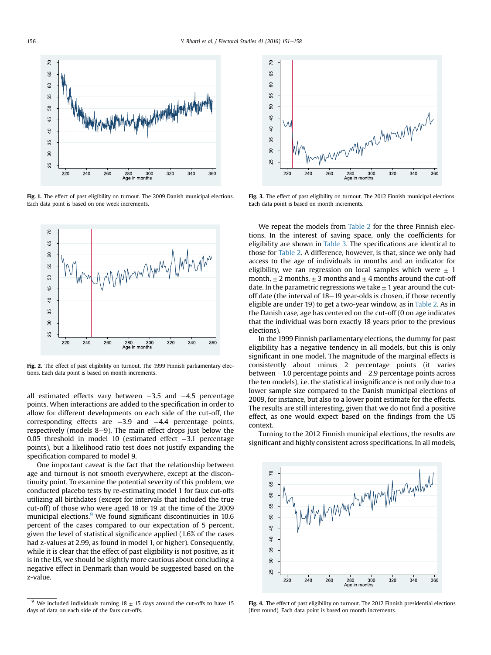<span id="page-5-0"></span>

Fig. 1. The effect of past eligibility on turnout. The 2009 Danish municipal elections. Each data point is based on one week increments.



Fig. 2. The effect of past eligibility on turnout. The 1999 Finnish parliamentary elections. Each data point is based on month increments.

all estimated effects vary between  $-3.5$  and  $-4.5$  percentage points. When interactions are added to the specification in order to allow for different developments on each side of the cut-off, the  $corresponding$  effects are  $-3.9$  and  $-4.4$  percentage points, respectively (models  $8-9$ ). The main effect drops just below the 0.05 threshold in model 10 (estimated effect -3.1 percentage points), but a likelihood ratio test does not justify expanding the specification compared to model 9.

One important caveat is the fact that the relationship between age and turnout is not smooth everywhere, except at the discontinuity point. To examine the potential severity of this problem, we conducted placebo tests by re-estimating model 1 for faux cut-offs utilizing all birthdates (except for intervals that included the true cut-off) of those who were aged 18 or 19 at the time of the 2009 municipal elections.<sup>9</sup> We found significant discontinuities in 10.6 percent of the cases compared to our expectation of 5 percent, given the level of statistical significance applied (1.6% of the cases had z-values at 2.99, as found in model 1, or higher). Consequently, while it is clear that the effect of past eligibility is not positive, as it is in the US, we should be slightly more cautious about concluding a negative effect in Denmark than would be suggested based on the z-value.



Fig. 3. The effect of past eligibility on turnout. The 2012 Finnish municipal elections. Each data point is based on month increments.

We repeat the models from [Table 2](#page-6-0) for the three Finnish elections. In the interest of saving space, only the coefficients for eligibility are shown in [Table 3.](#page-6-0) The specifications are identical to those for [Table 2](#page-6-0). A difference, however, is that, since we only had access to the age of individuals in months and an indicator for eligibility, we ran regression on local samples which were  $\pm$  1 month,  $\pm$  2 months,  $\pm$  3 months and  $\pm$  4 months around the cut-off date. In the parametric regressions we take  $\pm$  1 year around the cutoff date (the interval of 18-19 year-olds is chosen, if those recently eligible are under 19) to get a two-year window, as in [Table 2](#page-6-0). As in the Danish case, age has centered on the cut-off (0 on age indicates that the individual was born exactly 18 years prior to the previous elections).

In the 1999 Finnish parliamentary elections, the dummy for past eligibility has a negative tendency in all models, but this is only significant in one model. The magnitude of the marginal effects is consistently about minus 2 percentage points (it varies between -1.0 percentage points and -2.9 percentage points across the ten models), i.e. the statistical insignificance is not only due to a lower sample size compared to the Danish municipal elections of 2009, for instance, but also to a lower point estimate for the effects. The results are still interesting, given that we do not find a positive effect, as one would expect based on the findings from the US context.

Turning to the 2012 Finnish municipal elections, the results are significant and highly consistent across specifications. In all models,



Fig. 4. The effect of past eligibility on turnout. The 2012 Finnish presidential elections (first round). Each data point is based on month increments.

<sup>&</sup>lt;sup>9</sup> We included individuals turning 18  $\pm$  15 days around the cut-offs to have 15 days of data on each side of the faux cut-offs.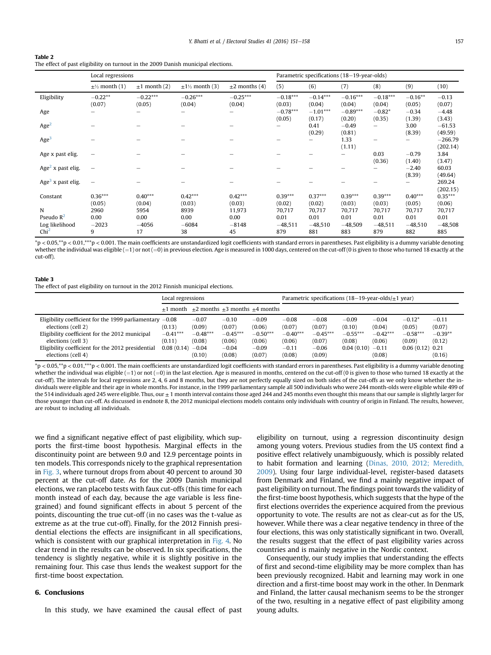<span id="page-6-0"></span>

| Table 2                                                                           |
|-----------------------------------------------------------------------------------|
| The effect of past eligibility on turnout in the 2009 Danish municipal elections. |

|                               | Local regressions          |                   |                              |                    |            | Parametric specifications (18-19-year-olds) |            |                          |           |           |  |
|-------------------------------|----------------------------|-------------------|------------------------------|--------------------|------------|---------------------------------------------|------------|--------------------------|-----------|-----------|--|
|                               | $\pm\frac{1}{2}$ month (1) | $\pm 1$ month (2) | $\pm 1\frac{1}{2}$ month (3) | $\pm 2$ months (4) | (5)        | (6)                                         | (7)        | (8)                      | (9)       | (10)      |  |
| Eligibility                   | $-0.22**$                  | $-0.22***$        | $-0.26***$                   | $-0.25***$         | $-0.18***$ | $-0.14***$                                  | $-0.16***$ | $-0.18***$               | $-0.16**$ | $-0.13$   |  |
|                               | (0.07)                     | (0.05)            | (0.04)                       | (0.04)             | (0.03)     | (0.04)                                      | (0.04)     | (0.04)                   | (0.05)    | (0.07)    |  |
| Age                           |                            |                   |                              |                    | $-0.78***$ | $-1.01***$                                  | $-0.89***$ | $-0.82*$                 | $-0.34$   | $-4.48$   |  |
|                               |                            |                   |                              |                    | (0.05)     | (0.17)                                      | (0.20)     | (0.35)                   | (1.39)    | (3.43)    |  |
| Age <sup>2</sup>              |                            |                   |                              |                    |            | 0.41                                        | $-0.49$    | $\overline{\phantom{0}}$ | 3.00      | $-61.53$  |  |
|                               |                            |                   |                              |                    |            | (0.29)                                      | (0.81)     |                          | (8.39)    | (49.59)   |  |
| Age <sup>3</sup>              |                            |                   |                              |                    |            |                                             | 1.33       | $\overline{\phantom{0}}$ |           | $-266.79$ |  |
|                               |                            |                   |                              |                    |            |                                             | (1.11)     |                          |           | (202.14)  |  |
| Age x past elig.              |                            |                   |                              |                    |            |                                             |            | 0.03                     | $-0.79$   | 3.84      |  |
|                               |                            |                   |                              |                    |            |                                             |            | (0.36)                   | (1.40)    | (3.47)    |  |
| Age <sup>2</sup> x past elig. | -                          |                   |                              |                    |            |                                             |            |                          | $-2.40$   | 60.03     |  |
|                               |                            |                   |                              |                    |            |                                             |            |                          | (8.39)    | (49.64)   |  |
| Age <sup>3</sup> x past elig. | -                          |                   |                              |                    |            |                                             |            |                          |           | 269.24    |  |
|                               |                            |                   |                              |                    |            |                                             |            |                          |           | (202.15)  |  |
| Constant                      | $0.36***$                  | $0.40***$         | $0.42***$                    | $0.42***$          | $0.39***$  | $0.37***$                                   | $0.39***$  | $0.39***$                | $0.40***$ | $0.35***$ |  |
|                               | (0.05)                     | (0.04)            | (0.03)                       | (0.03)             | (0.02)     | (0.02)                                      | (0.03)     | (0.03)                   | (0.05)    | (0.06)    |  |
| N                             | 2960                       | 5954              | 8939                         | 11,973             | 70,717     | 70,717                                      | 70,717     | 70,717                   | 70,717    | 70,717    |  |
| Pseudo $R^2$                  | 0.00                       | 0.00              | 0.00                         | 0.00               | 0.01       | 0.01                                        | 0.01       | 0.01                     | 0.01      | 0.01      |  |
| Log likelihood                | $-2023$                    | $-4056$           | $-6084$                      | $-8148$            | $-48,511$  | $-48,510$                                   | $-48,509$  | $-48,511$                | $-48,510$ | $-48,508$ |  |
| Chi <sup>2</sup>              | 9                          | 17                | 38                           | 45                 | 879        | 881                                         | 883        | 879                      | 882       | 885       |  |

 $p < 0.05$ ,\*\*p < 0.01,\*\*\*p < 0.001. The main coefficients are unstandardized logit coefficients with standard errors in parentheses. Past eligibility is a dummy variable denoting whether the individual was eligible  $(=1)$  or not  $(=0)$  in previous election. Age is measured in 1000 days, centered on the cut-off (0 is given to those who turned 18 exactly at the cut-off).

### Table 3

The effect of past eligibility on turnout in the 2012 Finnish municipal elections.

|                                                            | Local regressions |            |            |                                                            | Parametric specifications (18–19-year-olds/ $\pm$ 1 year) |            |            |            |                   |           |
|------------------------------------------------------------|-------------------|------------|------------|------------------------------------------------------------|-----------------------------------------------------------|------------|------------|------------|-------------------|-----------|
|                                                            |                   |            |            | $\pm 1$ month $\pm 2$ months $\pm 3$ months $\pm 4$ months |                                                           |            |            |            |                   |           |
| Eligibility coefficient for the 1999 parliamentary $-0.08$ |                   | $-0.07$    | $-0.10$    | $-0.09$                                                    | $-0.08$                                                   | $-0.08$    | $-0.09$    | $-0.04$    | $-0.12*$          | $-0.11$   |
| elections (cell 2)                                         | (0.13)            | (0.09)     | (0.07)     | (0.06)                                                     | (0.07)                                                    | (0.07)     | (0.10)     | (0.04)     | (0.05)            | (0.07)    |
| Eligibility coefficient for the 2012 municipal             | $-0.41***$        | $-0.48***$ | $-0.45***$ | $-0.50***$                                                 | $-0.40***$                                                | $-0.45***$ | $-0.55***$ | $-0.42***$ | $-0.58***$        | $-0.39**$ |
| elections (cell 3)                                         | (0.11)            | (0.08)     | (0.06)     | (0.06)                                                     | (0.06)                                                    | (0.07)     | (0.08)     | (0.06)     | (0.09)            | (0.12)    |
| Eligibility coefficient for the 2012 presidential          | 0.08(0.14)        | $-0.04$    | $-0.04$    | $-0.09$                                                    | $-0.11$                                                   | $-0.06$    | 0.04(0.10) | $-0.11$    | $0.06(0.12)$ 0.21 |           |
| elections (cell 4)                                         |                   | (0.10)     | (0.08)     | (0.07)                                                     | (0.08)                                                    | (0.09)     |            | (0.08)     |                   | (0.16)    |

 $p < 0.05$ ,\*\*p < 0.01,\*\*\*p < 0.001. The main coefficients are unstandardized logit coefficients with standard errors in parentheses. Past eligibility is a dummy variable denoting whether the individual was eligible  $(=1)$  or not  $(=0)$  in the last election. Age is measured in months, centered on the cut-off (0 is given to those who turned 18 exactly at the cut-off). The intervals for local regressions are 2, 4, 6 and 8 months, but they are not perfectly equally sized on both sides of the cut-offs as we only know whether the individuals were eligible and their age in whole months. For instance, in the 1999 parliamentary sample all 500 individuals who were 244 month-olds were eligible while 499 of the 514 individuals aged 245 were eligible. Thus, our  $\pm$  1 month interval contains those aged 244 and 245 months even thought this means that our sample is slightly larger for those younger than cut-off. As discussed in endnote 8, the 2012 municipal elections models contains only individuals with country of origin in Finland. The results, however, are robust to including all individuals.

we find a significant negative effect of past eligibility, which supports the first-time boost hypothesis. Marginal effects in the discontinuity point are between 9.0 and 12.9 percentage points in ten models. This corresponds nicely to the graphical representation in [Fig. 3](#page-5-0), where turnout drops from about 40 percent to around 30 percent at the cut-off date. As for the 2009 Danish municipal elections, we ran placebo tests with faux cut-offs (this time for each month instead of each day, because the age variable is less finegrained) and found significant effects in about 5 percent of the points, discounting the true cut-off (in no cases was the t-value as extreme as at the true cut-off). Finally, for the 2012 Finnish presidential elections the effects are insignificant in all specifications, which is consistent with our graphical interpretation in [Fig. 4](#page-5-0). No clear trend in the results can be observed. In six specifications, the tendency is slightly negative, while it is slightly positive in the remaining four. This case thus lends the weakest support for the first-time boost expectation.

### 6. Conclusions

In this study, we have examined the causal effect of past

eligibility on turnout, using a regression discontinuity design among young voters. Previous studies from the US context find a positive effect relatively unambiguously, which is possibly related to habit formation and learning ([Dinas, 2010, 2012; Meredith,](#page-7-0) [2009\)](#page-7-0). Using four large individual-level, register-based datasets from Denmark and Finland, we find a mainly negative impact of past eligibility on turnout. The findings point towards the validity of the first-time boost hypothesis, which suggests that the hype of the first elections overrides the experience acquired from the previous opportunity to vote. The results are not as clear-cut as for the US, however. While there was a clear negative tendency in three of the four elections, this was only statistically significant in two. Overall, the results suggest that the effect of past eligibility varies across countries and is mainly negative in the Nordic context.

Consequently, our study implies that understanding the effects of first and second-time eligibility may be more complex than has been previously recognized. Habit and learning may work in one direction and a first-time boost may work in the other. In Denmark and Finland, the latter causal mechanism seems to be the stronger of the two, resulting in a negative effect of past eligibility among young adults.